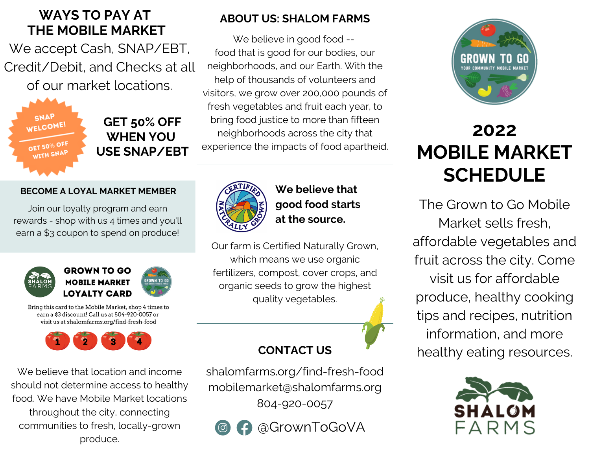# **WAYS TO PAY AT THE MOBILE MARKET**

We accept Cash, SNAP/EBT, Credit/Debit, and Checks at all of our market locations.



# **ABOUT US: SHALOM FARMS**

We believe in good food -food that is good for our bodies, our neighborhoods, and our Earth. With the help of thousands of volunteers and visitors, we grow over 200,000 pounds of fresh vegetables and fruit each year, to bring food justice to more than fifteen neighborhoods across the city that experience the impacts of food apartheid.

#### **BECOME A LOYAL MARKET MEMBER**

Join our loyalty program and earn rewards - shop with us 4 times and you'll earn a \$3 coupon to spend on produce!





Bring this card to the Mobile Market, shop 4 times to earn a \$3 discount! Call us at 804-920-0057 or visit us at shalomfarms.org/find-fresh-food



We believe that location and income should not determine access to healthy food. We have Mobile Market locations throughout the city, connecting communities to fresh, locally-grown produce.



**We believe that good food starts at the source.**

Our farm is Certified Naturally Grown, which means we use organic fertilizers, compost, cover crops, and organic seeds to grow the highest quality vegetables.

# **CONTACT US**

shalomfarms.org/find-fresh-food mobilemarket@shalomfarms.org 804-920-0057





# **2022 MOBILE MARKET SCHEDULE**

The Grown to Go Mobile Market sells fresh, affordable vegetables and fruit across the city. Come visit us for affordable produce, healthy cooking tips and recipes, nutrition information, and more healthy eating resources.